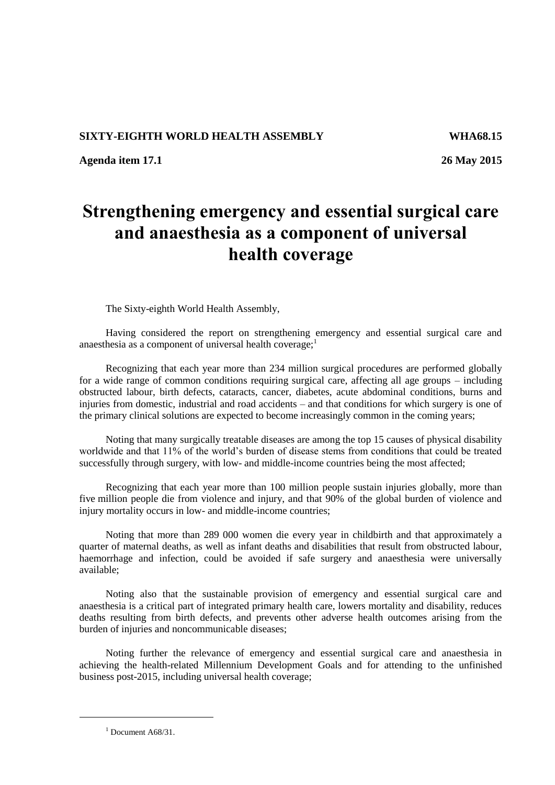## **SIXTY-EIGHTH WORLD HEALTH ASSEMBLY WHA68.15**

**Agenda item 17.1 26 May 2015**

## **Strengthening emergency and essential surgical care and anaesthesia as a component of universal health coverage**

The Sixty-eighth World Health Assembly,

Having considered the report on strengthening emergency and essential surgical care and anaesthesia as a component of universal health coverage;<sup>1</sup>

Recognizing that each year more than 234 million surgical procedures are performed globally for a wide range of common conditions requiring surgical care, affecting all age groups – including obstructed labour, birth defects, cataracts, cancer, diabetes, acute abdominal conditions, burns and injuries from domestic, industrial and road accidents – and that conditions for which surgery is one of the primary clinical solutions are expected to become increasingly common in the coming years;

Noting that many surgically treatable diseases are among the top 15 causes of physical disability worldwide and that 11% of the world's burden of disease stems from conditions that could be treated successfully through surgery, with low- and middle-income countries being the most affected;

Recognizing that each year more than 100 million people sustain injuries globally, more than five million people die from violence and injury, and that 90% of the global burden of violence and injury mortality occurs in low- and middle-income countries;

Noting that more than 289 000 women die every year in childbirth and that approximately a quarter of maternal deaths, as well as infant deaths and disabilities that result from obstructed labour, haemorrhage and infection, could be avoided if safe surgery and anaesthesia were universally available;

Noting also that the sustainable provision of emergency and essential surgical care and anaesthesia is a critical part of integrated primary health care, lowers mortality and disability, reduces deaths resulting from birth defects, and prevents other adverse health outcomes arising from the burden of injuries and noncommunicable diseases;

Noting further the relevance of emergency and essential surgical care and anaesthesia in achieving the health-related Millennium Development Goals and for attending to the unfinished business post-2015, including universal health coverage;

 $1$  Document A68/31.

-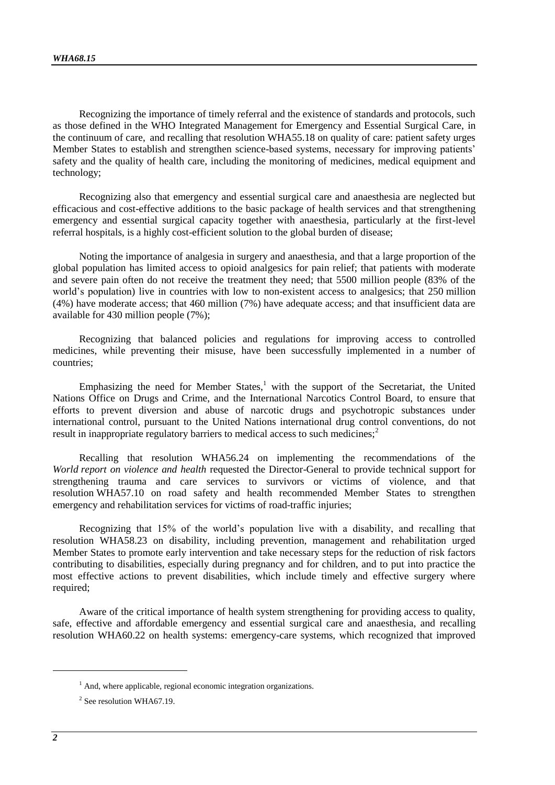Recognizing the importance of timely referral and the existence of standards and protocols, such as those defined in the WHO Integrated Management for Emergency and Essential Surgical Care, in the continuum of care, and recalling that resolution WHA55.18 on quality of care: patient safety urges Member States to establish and strengthen science-based systems, necessary for improving patients' safety and the quality of health care, including the monitoring of medicines, medical equipment and technology;

Recognizing also that emergency and essential surgical care and anaesthesia are neglected but efficacious and cost-effective additions to the basic package of health services and that strengthening emergency and essential surgical capacity together with anaesthesia, particularly at the first-level referral hospitals, is a highly cost-efficient solution to the global burden of disease;

Noting the importance of analgesia in surgery and anaesthesia, and that a large proportion of the global population has limited access to opioid analgesics for pain relief; that patients with moderate and severe pain often do not receive the treatment they need; that 5500 million people (83% of the world's population) live in countries with low to non-existent access to analgesics; that 250 million (4%) have moderate access; that 460 million (7%) have adequate access; and that insufficient data are available for 430 million people (7%);

Recognizing that balanced policies and regulations for improving access to controlled medicines, while preventing their misuse, have been successfully implemented in a number of countries;

Emphasizing the need for Member States, $\frac{1}{1}$  with the support of the Secretariat, the United Nations Office on Drugs and Crime, and the International Narcotics Control Board, to ensure that efforts to prevent diversion and abuse of narcotic drugs and psychotropic substances under international control, pursuant to the United Nations international drug control conventions, do not result in inappropriate regulatory barriers to medical access to such medicines;<sup>2</sup>

Recalling that resolution WHA56.24 on implementing the recommendations of the *World report on violence and health* requested the Director-General to provide technical support for strengthening trauma and care services to survivors or victims of violence, and that resolution WHA57.10 on road safety and health recommended Member States to strengthen emergency and rehabilitation services for victims of road-traffic injuries;

Recognizing that 15% of the world's population live with a disability, and recalling that resolution WHA58.23 on disability, including prevention, management and rehabilitation urged Member States to promote early intervention and take necessary steps for the reduction of risk factors contributing to disabilities, especially during pregnancy and for children, and to put into practice the most effective actions to prevent disabilities, which include timely and effective surgery where required;

Aware of the critical importance of health system strengthening for providing access to quality, safe, effective and affordable emergency and essential surgical care and anaesthesia, and recalling resolution WHA60.22 on health systems: emergency-care systems, which recognized that improved

 $<sup>1</sup>$  And, where applicable, regional economic integration organizations.</sup>

 $2$  See resolution WHA67.19.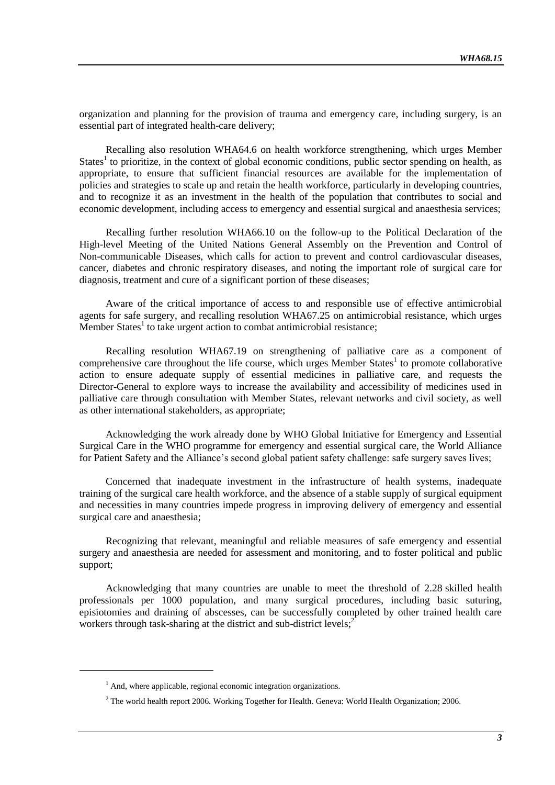organization and planning for the provision of trauma and emergency care, including surgery, is an essential part of integrated health-care delivery;

Recalling also resolution WHA64.6 on health workforce strengthening, which urges Member States<sup>1</sup> to prioritize, in the context of global economic conditions, public sector spending on health, as appropriate, to ensure that sufficient financial resources are available for the implementation of policies and strategies to scale up and retain the health workforce, particularly in developing countries, and to recognize it as an investment in the health of the population that contributes to social and economic development, including access to emergency and essential surgical and anaesthesia services;

Recalling further resolution WHA66.10 on the follow-up to the Political Declaration of the High-level Meeting of the United Nations General Assembly on the Prevention and Control of Non-communicable Diseases, which calls for action to prevent and control cardiovascular diseases, cancer, diabetes and chronic respiratory diseases, and noting the important role of surgical care for diagnosis, treatment and cure of a significant portion of these diseases;

Aware of the critical importance of access to and responsible use of effective antimicrobial agents for safe surgery, and recalling resolution WHA67.25 on antimicrobial resistance, which urges Member States<sup>1</sup> to take urgent action to combat antimicrobial resistance;

Recalling resolution WHA67.19 on strengthening of palliative care as a component of comprehensive care throughout the life course, which urges Member States<sup>1</sup> to promote collaborative action to ensure adequate supply of essential medicines in palliative care, and requests the Director-General to explore ways to increase the availability and accessibility of medicines used in palliative care through consultation with Member States, relevant networks and civil society, as well as other international stakeholders, as appropriate;

Acknowledging the work already done by WHO Global Initiative for Emergency and Essential Surgical Care in the WHO programme for emergency and essential surgical care, the World Alliance for Patient Safety and the Alliance's second global patient safety challenge: safe surgery saves lives;

Concerned that inadequate investment in the infrastructure of health systems, inadequate training of the surgical care health workforce, and the absence of a stable supply of surgical equipment and necessities in many countries impede progress in improving delivery of emergency and essential surgical care and anaesthesia;

Recognizing that relevant, meaningful and reliable measures of safe emergency and essential surgery and anaesthesia are needed for assessment and monitoring, and to foster political and public support;

Acknowledging that many countries are unable to meet the threshold of 2.28 skilled health professionals per 1000 population, and many surgical procedures, including basic suturing, episiotomies and draining of abscesses, can be successfully completed by other trained health care workers through task-sharing at the district and sub-district levels; $<sup>2</sup>$ </sup>

<sup>&</sup>lt;sup>1</sup> And, where applicable, regional economic integration organizations.

<sup>2</sup> The world health report 2006. Working Together for Health. Geneva: World Health Organization; 2006.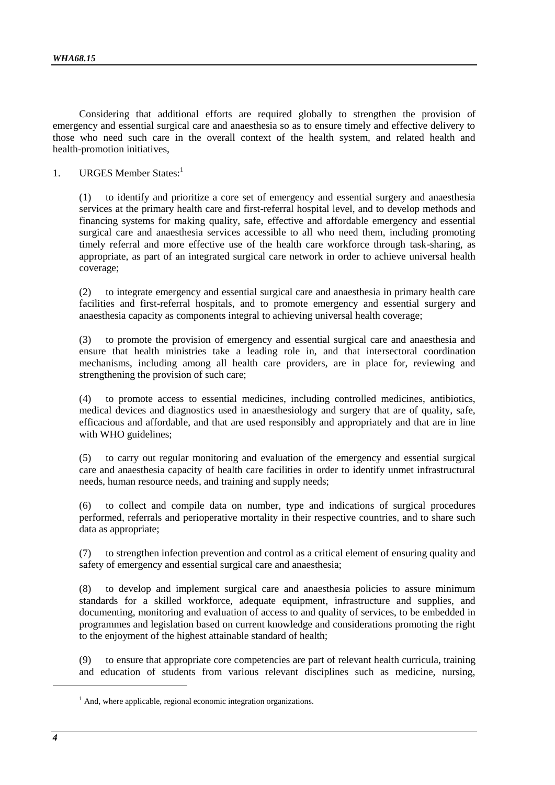Considering that additional efforts are required globally to strengthen the provision of emergency and essential surgical care and anaesthesia so as to ensure timely and effective delivery to those who need such care in the overall context of the health system, and related health and health-promotion initiatives,

1 URGES Member States<sup>-1</sup>

(1) to identify and prioritize a core set of emergency and essential surgery and anaesthesia services at the primary health care and first-referral hospital level, and to develop methods and financing systems for making quality, safe, effective and affordable emergency and essential surgical care and anaesthesia services accessible to all who need them, including promoting timely referral and more effective use of the health care workforce through task-sharing, as appropriate, as part of an integrated surgical care network in order to achieve universal health coverage;

(2) to integrate emergency and essential surgical care and anaesthesia in primary health care facilities and first-referral hospitals, and to promote emergency and essential surgery and anaesthesia capacity as components integral to achieving universal health coverage;

(3) to promote the provision of emergency and essential surgical care and anaesthesia and ensure that health ministries take a leading role in, and that intersectoral coordination mechanisms, including among all health care providers, are in place for, reviewing and strengthening the provision of such care;

(4) to promote access to essential medicines, including controlled medicines, antibiotics, medical devices and diagnostics used in anaesthesiology and surgery that are of quality, safe, efficacious and affordable, and that are used responsibly and appropriately and that are in line with WHO guidelines;

(5) to carry out regular monitoring and evaluation of the emergency and essential surgical care and anaesthesia capacity of health care facilities in order to identify unmet infrastructural needs, human resource needs, and training and supply needs;

(6) to collect and compile data on number, type and indications of surgical procedures performed, referrals and perioperative mortality in their respective countries, and to share such data as appropriate;

(7) to strengthen infection prevention and control as a critical element of ensuring quality and safety of emergency and essential surgical care and anaesthesia;

(8) to develop and implement surgical care and anaesthesia policies to assure minimum standards for a skilled workforce, adequate equipment, infrastructure and supplies, and documenting, monitoring and evaluation of access to and quality of services, to be embedded in programmes and legislation based on current knowledge and considerations promoting the right to the enjoyment of the highest attainable standard of health;

(9) to ensure that appropriate core competencies are part of relevant health curricula, training and education of students from various relevant disciplines such as medicine, nursing,

 $1$  And, where applicable, regional economic integration organizations.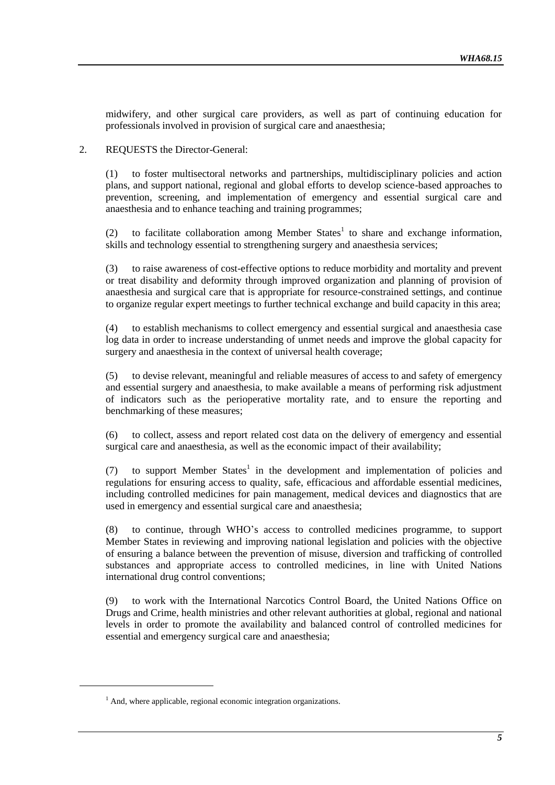midwifery, and other surgical care providers, as well as part of continuing education for professionals involved in provision of surgical care and anaesthesia;

## 2. REQUESTS the Director-General:

(1) to foster multisectoral networks and partnerships, multidisciplinary policies and action plans, and support national, regional and global efforts to develop science-based approaches to prevention, screening, and implementation of emergency and essential surgical care and anaesthesia and to enhance teaching and training programmes;

(2) to facilitate collaboration among Member States<sup>1</sup> to share and exchange information, skills and technology essential to strengthening surgery and anaesthesia services;

(3) to raise awareness of cost-effective options to reduce morbidity and mortality and prevent or treat disability and deformity through improved organization and planning of provision of anaesthesia and surgical care that is appropriate for resource-constrained settings, and continue to organize regular expert meetings to further technical exchange and build capacity in this area;

(4) to establish mechanisms to collect emergency and essential surgical and anaesthesia case log data in order to increase understanding of unmet needs and improve the global capacity for surgery and anaesthesia in the context of universal health coverage;

(5) to devise relevant, meaningful and reliable measures of access to and safety of emergency and essential surgery and anaesthesia, to make available a means of performing risk adjustment of indicators such as the perioperative mortality rate, and to ensure the reporting and benchmarking of these measures;

(6) to collect, assess and report related cost data on the delivery of emergency and essential surgical care and anaesthesia, as well as the economic impact of their availability;

(7) to support Member States<sup>1</sup> in the development and implementation of policies and regulations for ensuring access to quality, safe, efficacious and affordable essential medicines, including controlled medicines for pain management, medical devices and diagnostics that are used in emergency and essential surgical care and anaesthesia;

(8) to continue, through WHO's access to controlled medicines programme, to support Member States in reviewing and improving national legislation and policies with the objective of ensuring a balance between the prevention of misuse, diversion and trafficking of controlled substances and appropriate access to controlled medicines, in line with United Nations international drug control conventions;

(9) to work with the International Narcotics Control Board, the United Nations Office on Drugs and Crime, health ministries and other relevant authorities at global, regional and national levels in order to promote the availability and balanced control of controlled medicines for essential and emergency surgical care and anaesthesia;

 $<sup>1</sup>$  And, where applicable, regional economic integration organizations.</sup>